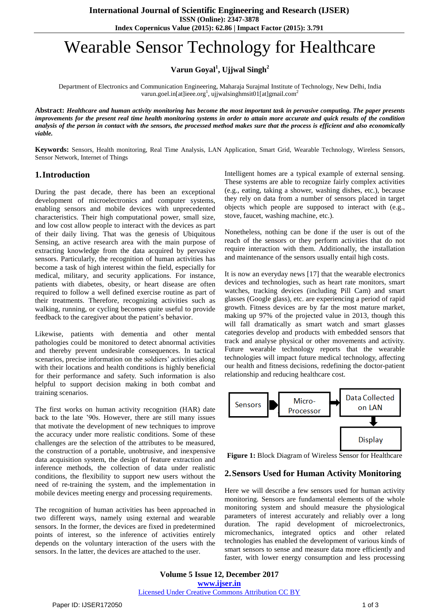# Wearable Sensor Technology for Healthcare

**Varun Goyal<sup>1</sup> , Ujjwal Singh<sup>2</sup>**

Department of Electronics and Communication Engineering, Maharaja Surajmal Institute of Technology, New Delhi, India varun.goel.in[at]ieee.org<sup>1</sup>, ujjwalsinghmsit01[at]gmail.com<sup>2</sup>

Abstract: Healthcare and human activity monitoring has become the most important task in pervasive computing. The paper presents improvements for the present real time health monitoring systems in order to attain more accurate and quick results of the condition analysis of the person in contact with the sensors, the processed method makes sure that the process is efficient and also economically *viable.*

**Keywords:** Sensors, Health monitoring, Real Time Analysis, LAN Application, Smart Grid, Wearable Technology, Wireless Sensors, Sensor Network, Internet of Things

## **1.Introduction**

During the past decade, there has been an exceptional development of microelectronics and computer systems, enabling sensors and mobile devices with unprecedented characteristics. Their high computational power, small size, and low cost allow people to interact with the devices as part of their daily living. That was the genesis of Ubiquitous Sensing, an active research area with the main purpose of extracting knowledge from the data acquired by pervasive sensors. Particularly, the recognition of human activities has become a task of high interest within the field, especially for medical, military, and security applications. For instance, patients with diabetes, obesity, or heart disease are often required to follow a well defined exercise routine as part of their treatments. Therefore, recognizing activities such as walking, running, or cycling becomes quite useful to provide feedback to the caregiver about the patient's behavior.

Likewise, patients with dementia and other mental pathologies could be monitored to detect abnormal activities and thereby prevent undesirable consequences. In tactical scenarios, precise information on the soldiers' activities along with their locations and health conditions is highly beneficial for their performance and safety. Such information is also helpful to support decision making in both combat and training scenarios.

The first works on human activity recognition (HAR) date back to the late '90s. However, there are still many issues that motivate the development of new techniques to improve the accuracy under more realistic conditions. Some of these challenges are the selection of the attributes to be measured, the construction of a portable, unobtrusive, and inexpensive data acquisition system, the design of feature extraction and inference methods, the collection of data under realistic conditions, the flexibility to support new users without the need of re-training the system, and the implementation in mobile devices meeting energy and processing requirements.

The recognition of human activities has been approached in two different ways, namely using external and wearable sensors. In the former, the devices are fixed in predetermined points of interest, so the inference of activities entirely depends on the voluntary interaction of the users with the sensors. In the latter, the devices are attached to the user.

Intelligent homes are a typical example of external sensing. These systems are able to recognize fairly complex activities (e.g., eating, taking a shower, washing dishes, etc.), because they rely on data from a number of sensors placed in target objects which people are supposed to interact with (e.g., stove, faucet, washing machine, etc.).

Nonetheless, nothing can be done if the user is out of the reach of the sensors or they perform activities that do not require interaction with them. Additionally, the installation and maintenance of the sensors usually entail high costs.

It is now an everyday news [17] that the wearable electronics devices and technologies, such as heart rate monitors, smart watches, tracking devices (including Pill Cam) and smart glasses (Google glass), etc. are experiencing a period of rapid growth. Fitness devices are by far the most mature market, making up 97% of the projected value in 2013, though this will fall dramatically as smart watch and smart glasses categories develop and products with embedded sensors that track and analyse physical or other movements and activity. Future wearable technology reports that the wearable technologies will impact future medical technology, affecting our health and fitness decisions, redefining the doctor-patient relationship and reducing healthcare cost.



**Figure 1:** Block Diagram of Wireless Sensor for Healthcare

## **2.Sensors Used for Human Activity Monitoring**

Here we will describe a few sensors used for human activity monitoring. Sensors are fundamental elements of the whole monitoring system and should measure the physiological parameters of interest accurately and reliably over a long duration. The rapid development of microelectronics, micromechanics, integrated optics and other related technologies has enabled the development of various kinds of smart sensors to sense and measure data more efficiently and faster, with lower energy consumption and less processing

**Volume 5 Issue 12, December 2017 <www.ijser.in>** [Licensed Under Creative Commons Attribution CC BY](http://creativecommons.org/licenses/by/4.0/)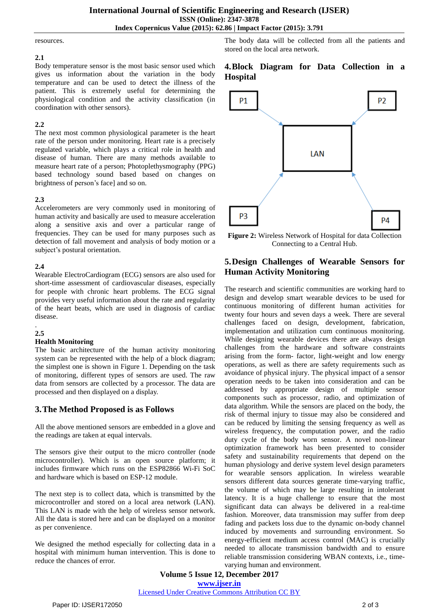#### resources.

#### **2.1**

Body temperature sensor is the most basic sensor used which gives us information about the variation in the body temperature and can be used to detect the illness of the patient. This is extremely useful for determining the physiological condition and the activity classification (in coordination with other sensors).

#### **2.2**

The next most common physiological parameter is the heart rate of the person under monitoring. Heart rate is a precisely regulated variable, which plays a critical role in health and disease of human. There are many methods available to measure heart rate of a person; Photoplethysmography (PPG) based technology sound based based on changes on brightness of person's face] and so on.

#### **2.3**

Accelerometers are very commonly used in monitoring of human activity and basically are used to measure acceleration along a sensitive axis and over a particular range of frequencies. They can be used for many purposes such as detection of fall movement and analysis of body motion or a subject's postural orientation.

#### **2.4**

Wearable ElectroCardiogram (ECG) sensors are also used for short-time assessment of cardiovascular diseases, especially for people with chronic heart problems. The ECG signal provides very useful information about the rate and regularity of the heart beats, which are used in diagnosis of cardiac disease.

#### . **2.5**

#### **Health Monitoring**

The basic architecture of the human activity monitoring system can be represented with the help of a block diagram; the simplest one is shown in Figure 1. Depending on the task of monitoring, different types of sensors are used. The raw data from sensors are collected by a processor. The data are processed and then displayed on a display.

## **3.The Method Proposed is as Follows**

All the above mentioned sensors are embedded in a glove and the readings are taken at equal intervals.

The sensors give their output to the micro controller (node microcontroller). Which is an open source platform; it includes firmware which runs on the ESP82866 Wi-Fi SoC and hardware which is based on ESP-12 module.

The next step is to collect data, which is transmitted by the microcontroller and stored on a local area network (LAN). This LAN is made with the help of wireless sensor network. All the data is stored here and can be displayed on a monitor as per convenience.

We designed the method especially for collecting data in a hospital with minimum human intervention. This is done to reduce the chances of error.

The body data will be collected from all the patients and stored on the local area network.

## **4.Block Diagram for Data Collection in a Hospital**



**Figure 2:** Wireless Network of Hospital for data Collection Connecting to a Central Hub.

# **5.Design Challenges of Wearable Sensors for Human Activity Monitoring**

The research and scientific communities are working hard to design and develop smart wearable devices to be used for continuous monitoring of different human activities for twenty four hours and seven days a week. There are several challenges faced on design, development, fabrication, implementation and utilization cum continuous monitoring. While designing wearable devices there are always design challenges from the hardware and software constraints arising from the form- factor, light-weight and low energy operations, as well as there are safety requirements such as avoidance of physical injury. The physical impact of a sensor operation needs to be taken into consideration and can be addressed by appropriate design of multiple sensor components such as processor, radio, and optimization of data algorithm. While the sensors are placed on the body, the risk of thermal injury to tissue may also be considered and can be reduced by limiting the sensing frequency as well as wireless frequency, the computation power, and the radio duty cycle of the body worn sensor. A novel non-linear optimization framework has been presented to consider safety and sustainability requirements that depend on the human physiology and derive system level design parameters for wearable sensors application. In wireless wearable sensors different data sources generate time-varying traffic, the volume of which may be large resulting in intolerant latency. It is a huge challenge to ensure that the most significant data can always be delivered in a real-time fashion. Moreover, data transmission may suffer from deep fading and packets loss due to the dynamic on-body channel induced by movements and surrounding environment. So energy-efficient medium access control (MAC) is crucially needed to allocate transmission bandwidth and to ensure reliable transmission considering WBAN contexts, i.e., timevarying human and environment.

**Volume 5 Issue 12, December 2017 <www.ijser.in>** [Licensed Under Creative Commons Attribution CC BY](http://creativecommons.org/licenses/by/4.0/)